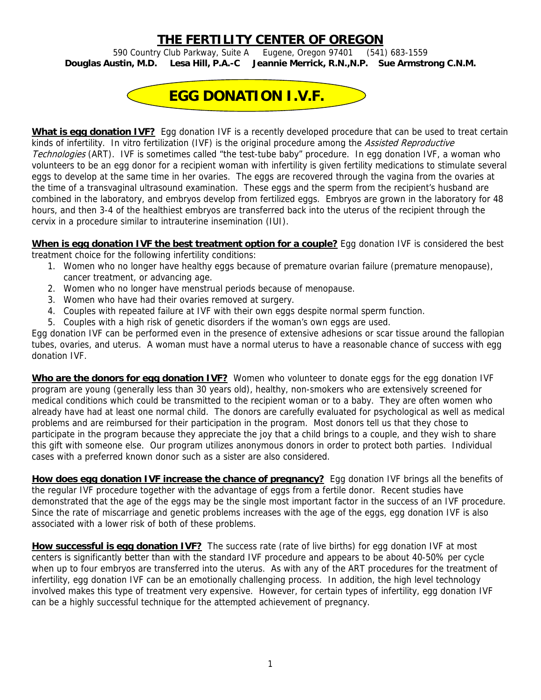## **THE FERTILITY CENTER OF OREGON**

590 Country Club Parkway, Suite A Eugene, Oregon 97401 (541) 683-1559 **Douglas Austin, M.D. Lesa Hill, P.A.-C Jeannie Merrick, R.N.,N.P. Sue Armstrong C.N.M.** 



**What is egg donation IVF?** Egg donation IVF is a recently developed procedure that can be used to treat certain kinds of infertility. In vitro fertilization (IVF) is the original procedure among the Assisted Reproductive Technologies (ART). IVF is sometimes called "the test-tube baby" procedure. In egg donation IVF, a woman who volunteers to be an egg donor for a recipient woman with infertility is given fertility medications to stimulate several eggs to develop at the same time in her ovaries. The eggs are recovered through the vagina from the ovaries at the time of a transvaginal ultrasound examination. These eggs and the sperm from the recipient's husband are combined in the laboratory, and embryos develop from fertilized eggs. Embryos are grown in the laboratory for 48 hours, and then 3-4 of the healthiest embryos are transferred back into the uterus of the recipient through the cervix in a procedure similar to intrauterine insemination (IUI).

**When is egg donation IVF the best treatment option for a couple?** Egg donation IVF is considered the best treatment choice for the following infertility conditions:

- 1. Women who no longer have healthy eggs because of premature ovarian failure (premature menopause), cancer treatment, or advancing age.
- 2. Women who no longer have menstrual periods because of menopause.
- 3. Women who have had their ovaries removed at surgery.
- 4. Couples with repeated failure at IVF with their own eggs despite normal sperm function.
- 5. Couples with a high risk of genetic disorders if the woman's own eggs are used.

Egg donation IVF can be performed even in the presence of extensive adhesions or scar tissue around the fallopian tubes, ovaries, and uterus. A woman must have a normal uterus to have a reasonable chance of success with egg donation IVF.

**Who are the donors for egg donation IVF?** Women who volunteer to donate eggs for the egg donation IVF program are young (generally less than 30 years old), healthy, non-smokers who are extensively screened for medical conditions which could be transmitted to the recipient woman or to a baby. They are often women who already have had at least one normal child. The donors are carefully evaluated for psychological as well as medical problems and are reimbursed for their participation in the program. Most donors tell us that they chose to participate in the program because they appreciate the joy that a child brings to a couple, and they wish to share this gift with someone else. Our program utilizes anonymous donors in order to protect both parties. Individual cases with a preferred known donor such as a sister are also considered.

**How does egg donation IVF increase the chance of pregnancy?** Egg donation IVF brings all the benefits of the regular IVF procedure together with the advantage of eggs from a fertile donor. Recent studies have demonstrated that the age of the eggs may be the single most important factor in the success of an IVF procedure. Since the rate of miscarriage and genetic problems increases with the age of the eggs, egg donation IVF is also associated with a lower risk of both of these problems.

**How successful is egg donation IVF?** The success rate (rate of live births) for egg donation IVF at most centers is significantly better than with the standard IVF procedure and appears to be about 40-50% per cycle when up to four embryos are transferred into the uterus. As with any of the ART procedures for the treatment of infertility, egg donation IVF can be an emotionally challenging process. In addition, the high level technology involved makes this type of treatment very expensive. However, for certain types of infertility, egg donation IVF can be a highly successful technique for the attempted achievement of pregnancy.